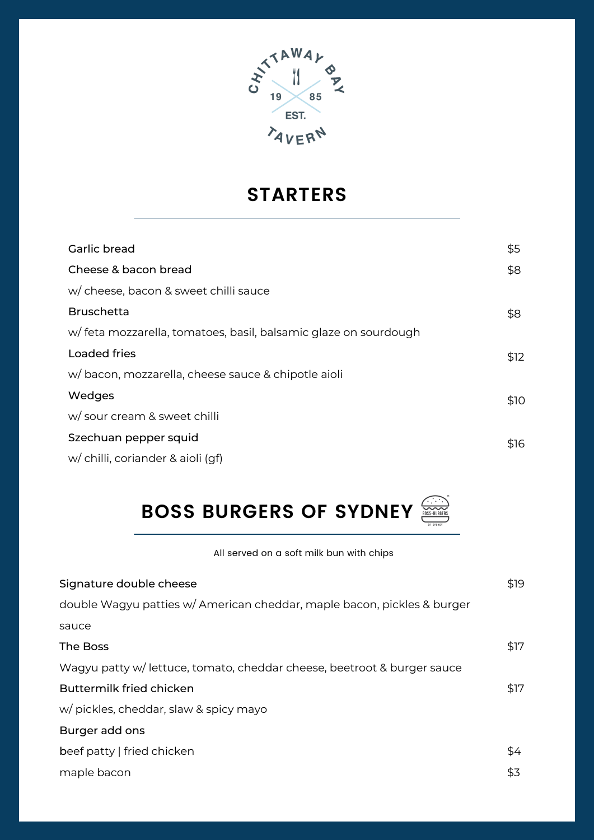

## **STARTERS**

| Garlic bread                                                    | \$5  |
|-----------------------------------------------------------------|------|
| Cheese & bacon bread                                            | \$8  |
| w/ cheese, bacon & sweet chilli sauce                           |      |
| <b>Bruschetta</b>                                               | \$8  |
| w/feta mozzarella, tomatoes, basil, balsamic glaze on sourdough |      |
| <b>Loaded fries</b>                                             | \$12 |
| w/bacon, mozzarella, cheese sauce & chipotle aioli              |      |
| Wedges                                                          | \$10 |
| w/ sour cream & sweet chilli                                    |      |
| Szechuan pepper squid                                           | \$16 |
| w/ chilli, coriander & aioli (gf)                               |      |

# **BOSS BURGERS OF SYDNEY**

#### All served on a soft milk bun with chips

| Signature double cheese                                                 | \$19 |
|-------------------------------------------------------------------------|------|
| double Wagyu patties w/ American cheddar, maple bacon, pickles & burger |      |
| sauce                                                                   |      |
| The Boss                                                                | \$17 |
| Wagyu patty w/ lettuce, tomato, cheddar cheese, beetroot & burger sauce |      |
| <b>Buttermilk fried chicken</b>                                         | \$17 |
| w/ pickles, cheddar, slaw & spicy mayo                                  |      |
| Burger add ons                                                          |      |
| beef patty   fried chicken                                              | \$4  |
| maple bacon                                                             | \$3  |